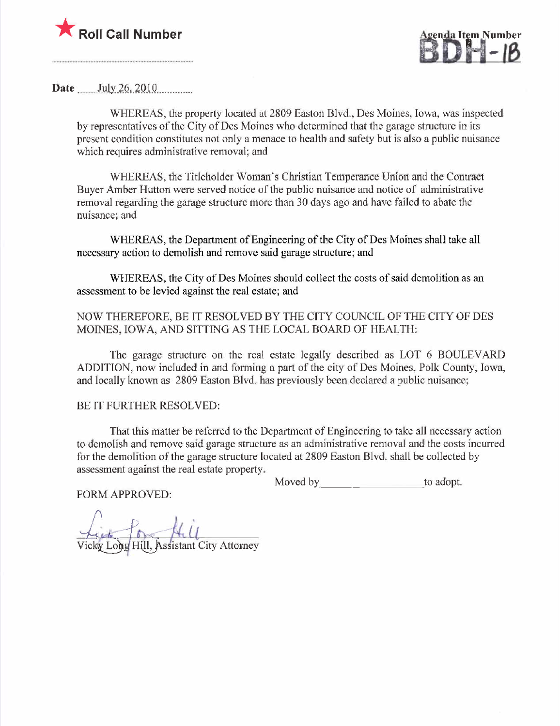



Date  $July\,26,2010$ 

WHEREAS, the property located at 2809 Easton Blvd., Des Moines, Iowa, was inspected by representatives of the City of Des Moines who determined that the garage structure in its present condition constitutes not only a menace to health and safety but is also a public nuisance which requires administrative removal; and

WHEREAS, the Titleholder Woman's Christian Temperance Union and the Contract Buyer Amber Hutton were served notice of the public nuisance and notice of administrative removal regarding the garage structure more than 30 days ago and have failed to abate the nuisance; and

WHEREAS, the Deparment of Engineering of the City of Des Moines shall take all necessary action to demolish and remove said garage structure; and

WHEREAS, the City of Des Moines should collect the costs of said demolition as an assessment to be levied against the real estate; and

NOW THEREFORE, BE IT RESOLVED BY THE CITY COUNCIL OF THE CITY OF DES MOINES, IOWA, AND SITTING AS THE LOCAL BOARD OF HEALTH:

The garage structure on the real estate legally described as LOT 6 BOULEVARD ADDITION, now included in and forming a part of the city of Des Moines, Polk County, Iowa, and locally known as 2809 Easton Blvd. has previously been declared a public nuisance;

# BE IT FURTHER RESOLVED:

That this matter be referred to the Department of Engineering to take all necessary action to demolish and remove said garage structure as an administrative removal and the costs incurred for the demolition of the garage structure located at 2809 Easton Blvd. shall be collected by assessment against the real estate property.

Moved by to adopt.

FORM APPROVED:

Vicky Long Hill, Assistant City Attorney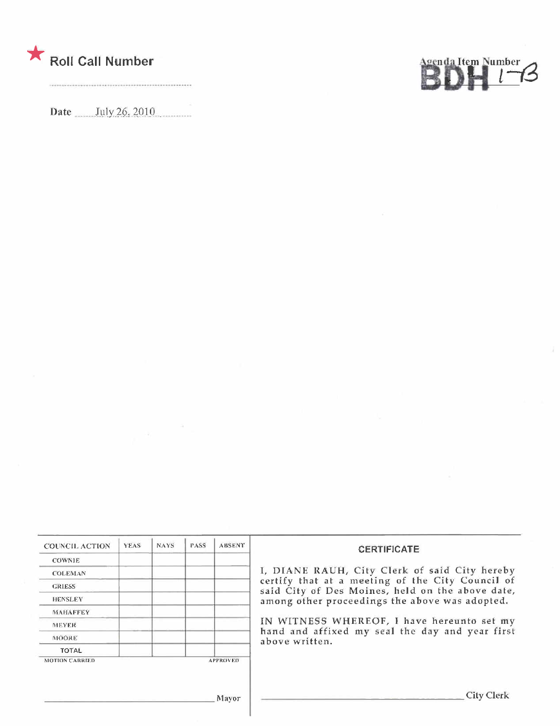

Date  $July\ 26, 2010$ 

 $\label{eq:3.1} \mathcal{X} = \mathcal{X}$ 



| <b>COUNCIL ACTION</b> | <b>YEAS</b> | NAYS. | <b>PASS</b> | <b>ABSENT</b>   | <b>CERTIFICATE</b>                                                                                   |
|-----------------------|-------------|-------|-------------|-----------------|------------------------------------------------------------------------------------------------------|
| <b>COWNLE</b>         |             |       |             |                 |                                                                                                      |
| <b>COLEMAN</b>        |             |       |             |                 | I, DIANE RAUH, City Clerk of said City hereby                                                        |
| <b>GRIESS</b>         |             |       |             |                 | certify that at a meeting of the City Council of<br>said City of Des Moines, held on the above date, |
| <b>HENSLEY</b>        |             |       |             |                 | among other proceedings the above was adopted.                                                       |
| <b>MAHAFFEY</b>       |             |       |             |                 |                                                                                                      |
| <b>MEYER</b>          |             |       |             |                 | IN WITNESS WHEREOF, I have hereunto set my                                                           |
| <b>MOORE</b>          |             |       |             |                 | hand and affixed my seal the day and year first<br>above written.                                    |
| <b>TOTAL</b>          |             |       |             |                 |                                                                                                      |
| <b>MOTION CARRIED</b> |             |       |             | <b>APPROVED</b> |                                                                                                      |
|                       |             |       |             | Mayor           | City C                                                                                               |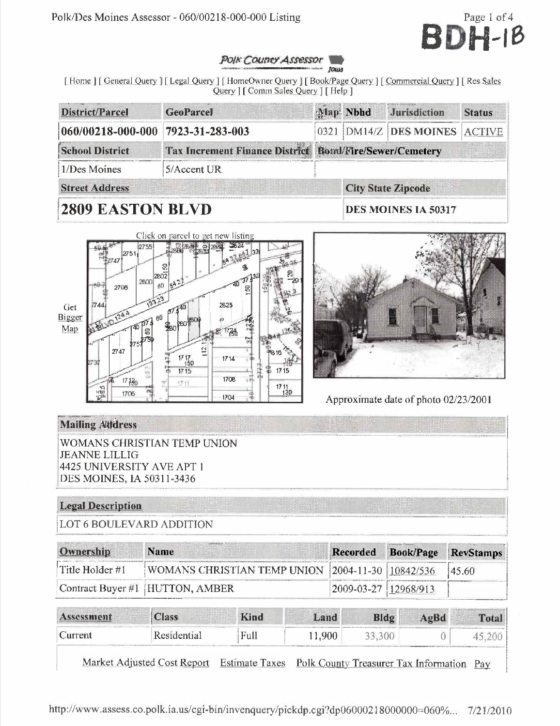

#### **POIK Councy Assessor** Jours

[Home ] [General Query ] [Legal Query ] [HomeOwner Query ] [Book/Page Query ] [Commercial Query ] [Res Sales Query | [ Comm Sales Query | [ Help ]

| District/Parcel<br><b>GeoParcel</b>                                               |  |  |  | Map Nbhd Jurisdiction     | <b>Status</b> |  |  |
|-----------------------------------------------------------------------------------|--|--|--|---------------------------|---------------|--|--|
| 060/00218-000-000<br>7923-31-283-003                                              |  |  |  | 0321 DM14/Z DES MOINES    | <b>ACTIVE</b> |  |  |
| Tax Increment Finance District Bond/Fire/Sewer/Cemetery<br><b>School District</b> |  |  |  |                           |               |  |  |
| 1/Des Moines<br>$5/A$ ccent UR                                                    |  |  |  |                           |               |  |  |
| <b>Street Address</b>                                                             |  |  |  | <b>City State Zipcode</b> |               |  |  |
| <b>2809 EASTON BLVD</b>                                                           |  |  |  | DES MOINES IA 50317       |               |  |  |

#### Click on parcel to get new listing 上海空性 59.24  $2201$ 2755 22.41  $\mathbb{C}$ 2802 2800 ĐÙ 2766  $673^{40}$ 2825 2744 Get Bigger 6Ū Map  $^{17}$   $\rm{Sb}$ 2747 **1816**  $\frac{17}{150}$ <br> $\frac{17}{17}$  15 1714  $1715$ 1708  $17130$ 辽行  $\frac{1711}{130}$ ್ದ<br>ದಿ 1706 1704



Approximate date of photo 02/23/2001

# **Mailing Attdress**

WOMANS CHRISTIAN TEMP UNION **JEANNE LILLIG** 4425 UNIVERSITY AVE APT 1 DES MOINES, IA 50311-3436

# **Legal Description**

LOT 6 BOULEVARD ADDITION

| Ownership       | <b>Name</b>                                      | Recorded             | Book/Page RevStamps |
|-----------------|--------------------------------------------------|----------------------|---------------------|
| Title Holder #1 | WOMANS CHRISTIAN TEMP UNION 2004-11-30 10842/536 |                      | 145.60              |
|                 | Contract Buyer #1 [HUTTON, AMBER]                | 2009-03-27 12968/913 |                     |

|              | <b>Class</b><br><b>If you were</b>      | <b>Kind</b>                          | Land                                                                | Bldg<br>œ | AgBd                                                                                                                                                                                                                           | Total.    |
|--------------|-----------------------------------------|--------------------------------------|---------------------------------------------------------------------|-----------|--------------------------------------------------------------------------------------------------------------------------------------------------------------------------------------------------------------------------------|-----------|
| iurrent<br>◡ | <b><esidential< b=""></esidential<></b> | Huli.<br>Construction Construction 1 | 900<br>includes the Charles Co., when you consider a company of the |           | The commitment of the control of the control of the control of the control of the control of the control of the control of the control of the control of the control of the control of the control of the control of the contr | --------- |

Market Adjusted Cost Report Estimate Taxes Polk County Treasurer Tax Information Pay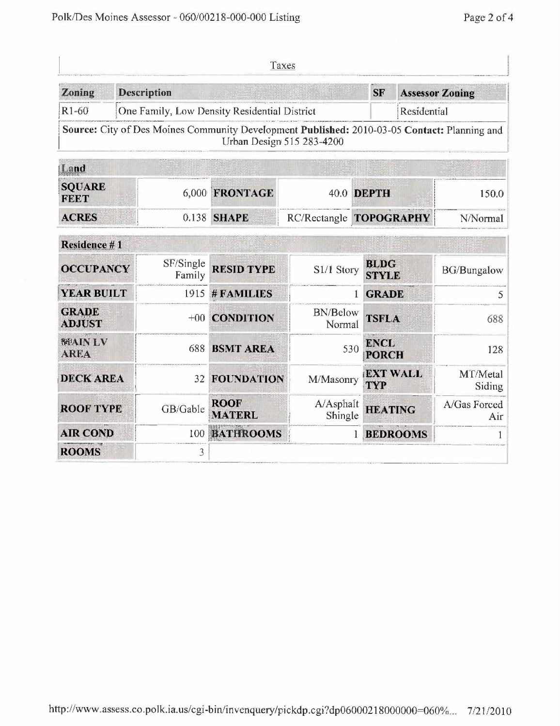|                               |                    |                     | Taxes                                                                                        |                           |                                    |                 |                        |  |
|-------------------------------|--------------------|---------------------|----------------------------------------------------------------------------------------------|---------------------------|------------------------------------|-----------------|------------------------|--|
| Zoning                        | <b>Description</b> |                     |                                                                                              |                           | <b>SF</b>                          |                 | <b>Assessor Zoning</b> |  |
| $R1-60$                       |                    |                     | One Family, Low Density Residential District                                                 |                           |                                    | Residential     |                        |  |
|                               |                    |                     | Source: City of Des Moines Community Development Published: 2010-03-05 Contact: Planning and | Urban Design 515 283-4200 |                                    |                 |                        |  |
| Land                          |                    |                     |                                                                                              |                           |                                    |                 |                        |  |
| <b>SOUARE</b><br><b>FEET</b>  |                    | 6,000               | <b>FRONTAGE</b>                                                                              |                           | 40.0 DEPTH                         |                 | 150.0                  |  |
| <b>ACRES</b><br>0.138         |                    | <b>SHAPE</b>        | RC/Rectangle TOPOGRAPHY                                                                      |                           |                                    | N/Normal        |                        |  |
| Residence #1                  |                    |                     |                                                                                              |                           |                                    |                 |                        |  |
| <b>OCCUPANCY</b>              |                    | SF/Single<br>Family | <b>RESID TYPE</b>                                                                            | S1/1 Story                | <b>BLDG</b><br><b>STYLE</b>        |                 | <b>BG/Bungalow</b>     |  |
| <b>YEAR BUILT</b>             |                    | 1915                | # FAMILIES                                                                                   |                           | <b>GRADE</b><br>1                  |                 | 5                      |  |
| <b>GRADE</b><br><b>ADJUST</b> |                    | $+00^{-}$           | <b>CONDITION</b>                                                                             | <b>BN/Below</b><br>Normal | <b>TSFLA</b>                       |                 | 688                    |  |
| <b>MAINLV</b><br><b>AREA</b>  |                    | 688                 | <b>BSMT AREA</b>                                                                             |                           | <b>ENCL</b><br>530<br><b>PORCH</b> |                 | 128                    |  |
| <b>DECK AREA</b>              |                    | 32                  | <b>FOUNDATION</b>                                                                            | M/Masonry                 | <b>TYP</b>                         | <b>EXT WALL</b> | M f/Metal<br>Siding    |  |
| <b>ROOF TYPE</b>              |                    | GB/Gable            | <b>ROOF</b><br><b>MATERL</b>                                                                 | A/Asphalt<br>Shingle      |                                    | <b>HEATING</b>  | A/Gas Forced<br>Air    |  |
| <b>AIR COND</b>               |                    | 100                 | <b>BATHROOMS</b>                                                                             |                           | 1                                  | <b>BEDROOMS</b> |                        |  |
| <b>ROOMS</b>                  |                    | 3                   |                                                                                              |                           |                                    |                 |                        |  |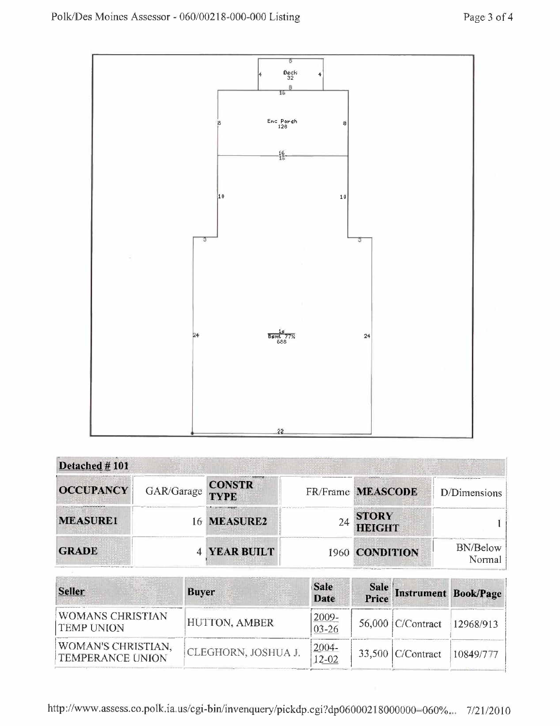

| Detached $#101$                                                                             |                            |                                              |    |                   |                    |
|---------------------------------------------------------------------------------------------|----------------------------|----------------------------------------------|----|-------------------|--------------------|
| <b>OCCUPANCY</b>                                                                            | GAR/Garage                 | <b>CONSTR</b><br>TYPE                        |    | FR/Frame MEASCODE | D/Dimensions       |
| <b>MEASURE1</b>                                                                             | <b>THE REPORT OF STATE</b> | Surge program and interesting<br>16 MEASURE2 | 24 | STORY<br>HEIGHT   |                    |
| <b>GRADE</b><br>Contractories for subsection. <sup>100</sup> of April 111 and success there |                            | <b>4 YEAR BUILT</b>                          |    | 1960 CONDITION    | BN/Below<br>Normal |

| <b>Seller</b>                                        | <b>Buyer</b>        | <b>Sale</b><br><b>Date</b> | Sale Instrument Book/Page   |           |
|------------------------------------------------------|---------------------|----------------------------|-----------------------------|-----------|
| <b>WOMANS CHRISTIAN</b><br><b>TEMP UNION</b>         | HUTTON, AMBER       | $2009 -$<br>$03 - 26$      | 56,000 C/Contract 12968/913 |           |
| <b>WOMAN'S CHRISTIAN,</b><br><b>TEMPERANCE UNION</b> | CLEGHORN, JOSHUA J. | $2004 -$<br>$12 - 02$      | $33,500$ C/Contract         | 10849/777 |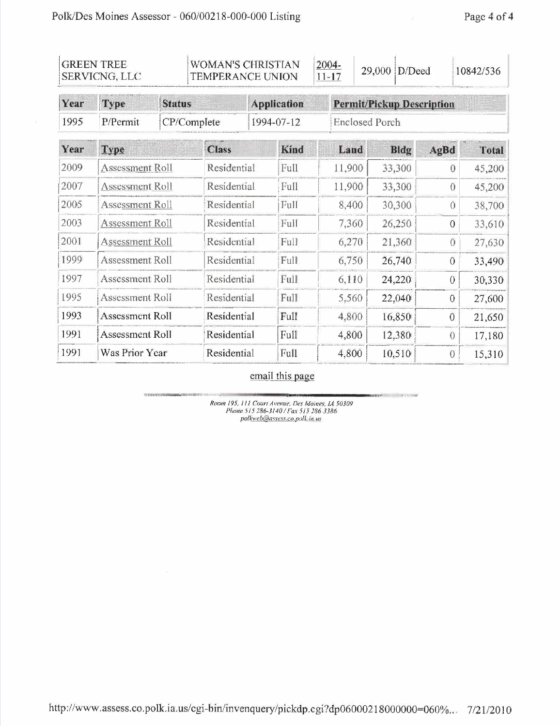| <b>GREEN TREE</b><br>SERVICNG, LLC |                              | WOMAN'S CHRISTIAN<br>TEMPERANCE UNION |              |                    | 2004-<br>$11 - 17$ |  | 29,000                           | D/Deed      | 10842/536      |                |              |  |
|------------------------------------|------------------------------|---------------------------------------|--------------|--------------------|--------------------|--|----------------------------------|-------------|----------------|----------------|--------------|--|
| Year                               | <b>Status</b><br><b>Type</b> |                                       |              | <b>Application</b> |                    |  | <b>Permit/Pickup Description</b> |             |                |                |              |  |
| 1995                               | P/Permit                     |                                       | CP/Complete  |                    | 1994-07-12         |  | <b>Enclosed Porch</b>            |             |                |                |              |  |
| Year                               | <b>Type</b>                  |                                       | <b>Class</b> |                    | <b>Kind</b>        |  | Land                             | <b>Bldg</b> | AgBd           |                | <b>Total</b> |  |
| 2009                               | <b>Assessment Roll</b>       |                                       |              | Residential        |                    |  | 11,900                           | 33,300      |                | $\theta$       | 45,200       |  |
| 2007                               | Assessment Roll              |                                       |              | Residential        |                    |  | 11,900                           | 33,300      |                | $\overline{0}$ | 45,200       |  |
| 2005                               | <b>Assessment Roll</b>       |                                       |              | Residential        |                    |  | 8,400                            | 30,300      |                | $\Omega$       | 38,700       |  |
| 2003                               |                              | <b>Assessment Roll</b>                |              | Residential        |                    |  | 7,360                            | 26,250      |                | $\theta$       | 33,610       |  |
| 2001                               | Assessment Roll              |                                       |              | Residential        |                    |  | 6,270                            | 21,360      |                | $\theta$       | 27,630       |  |
| 1999                               | <b>Assessment Roll</b>       |                                       |              | Residential        |                    |  | 6,750                            | 26,740      | $\Omega$       |                | 33,490       |  |
| 1997                               | Assessment Roll              |                                       |              | Residential        |                    |  | 6,110                            | 24,220      |                | $\sigma$       | 30,330       |  |
| 1995                               | Assessment Roll              |                                       | Residential  |                    | Full               |  | 5,560                            | 22,040      | $\theta$       |                | 27,600       |  |
| 1993                               | <b>Assessment Roll</b>       |                                       | Residential  |                    | Full               |  | 4,800                            | 16,850      | $\overline{0}$ |                | 21,650       |  |
| 1991                               | Assessment Roll              |                                       | Residential  |                    | Full               |  | 4,800                            | 12,380      | $\Omega$       |                | 17,180       |  |
| 1991                               | Was Prior Year               |                                       | Residential  |                    | Full               |  | 4,800                            | 10,510      | $\overline{0}$ |                | 15,310       |  |

email this page

**Herville, William Lincoln** 

Room 195, 111 Court Avenue, Des Moines, IA 50309<br>Phone 515 286-3140 / Fax 515 286 3386<br>polkweb@assess.co.polk.ia.us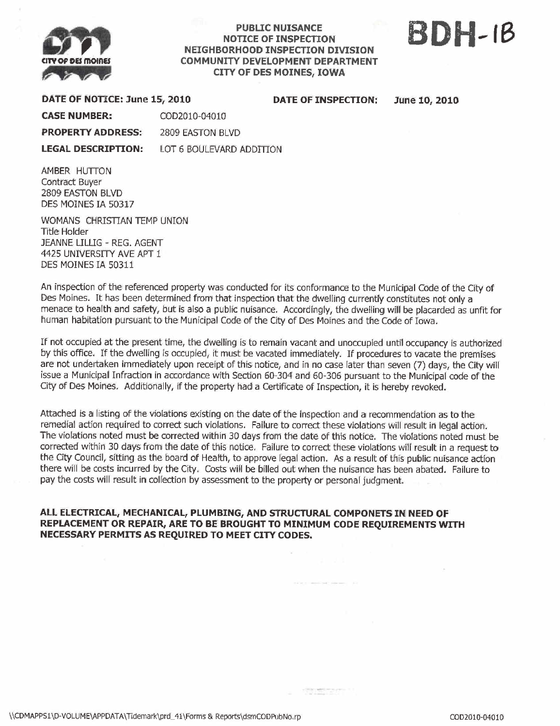

### **PUBLIC NUISANCE** NOTICE OF INSPECTON NEIGHBORHOOD INSPECTON DIVISION COMMUNITY DEVELOPMENT DEPARTMENT CITY OF DES MOINES, IOWA

# BDH-ie

DATE OF NOTICE: June LS, 2010 DATE OF INSPECTION: June 10, 2010

CASE NUMBER: COD201O-0401O

PROPERTY ADDRESS: 2809 EASTON BLVD

LEGAL DESCRIPTION: LOT 6 BOULEVARD ADDITION

AMBER HUTTON Contract Buyer 2809 EASTON BLVD DES MOINES IA 50317

WOMANS CHRISTAN TEMP UNION Title Holder JEANNE LILLIG - REG. AGENT 4425 UNIVERSITY AVE APT 1 DES MOINES IA S0311

An inspection of the referenced property was conducted for its conformance to the Municipal Code of the City of Des Moines. It has been determined from that inspection that the dwelling currently constitutes not only a menace to health and safety, but is also a public nuisance. Accordingly, the dwelling wil be placarded as unfit for human habitation pursuant to the Municipal Code of the City of Des Moines and the Code of Iowa.

If not occupied at the present time, the dwelling is to remain vacant and unoccupied until occupancy is authorized by this office. If the dwelling is occupied, it must be vacated immediately. If procedures to vacate the premises are not undertaken immediately upon receipt of this notice, and in no case later than seven (7) days, the City wil issue a Municipal Infraction in accordance with Secion 60-304 and 60-306 pursuant to the Municipal code of the City of Des Moines. Additionally, if the property had a Certificate of Inspection, it is hereby revoked.

Attached is a listing of the violations existing on the date of the inspection and a recommendation as to the remedial action required to correct such violations. Failure to correct these violations will result in legal action. The violations noted must be corrected within 30 days from the date of this notice. The violations noted must be corrected within 30 days from the date of this notice. Failure to correct these violations will result in a request to the City Council, sitting as the board of Health, to approve legal action. As a result of this public nuisance action there will be costs incurred by the City. Costs will be biled out when the nuisance has been abated. Failure to pay the costs will result in collection by assessment to the property or personal judgment.

**SECRETARY** 

# ALL ELECTRICAL, MECHANICAL, PLUMBING, AND STRUCTURAL COMPONETS IN NEED OF REPLACEMENT OR REPAIR, ARE TO BE BROUGHT TO MINIMUM CODE REQUIREMENTS WITH NECESSARY PERMITS AS REQUIRED TO MEET CITY CODES.